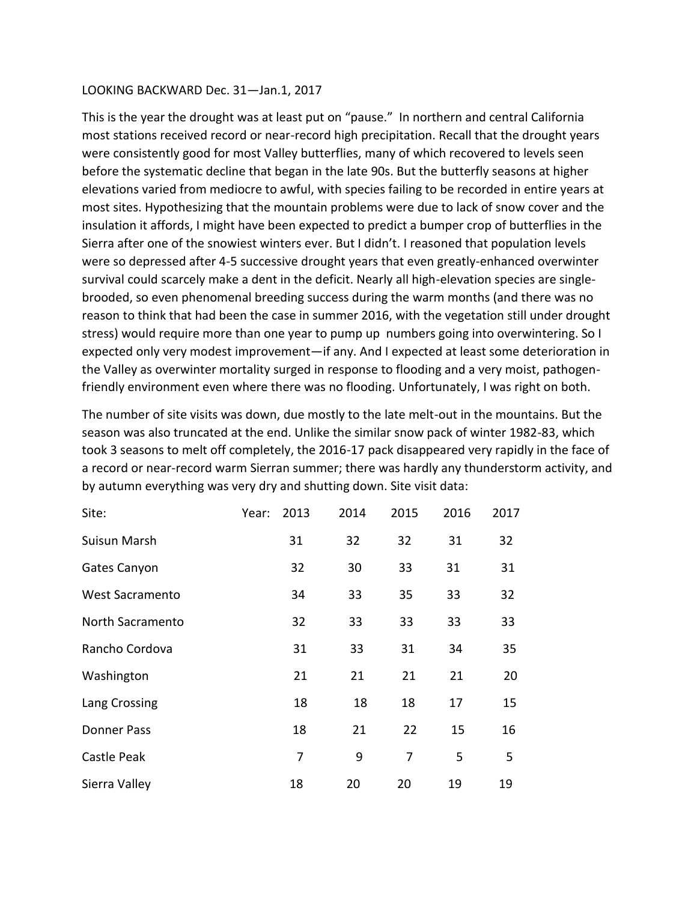## LOOKING BACKWARD Dec. 31—Jan.1, 2017

This is the year the drought was at least put on "pause." In northern and central California most stations received record or near-record high precipitation. Recall that the drought years were consistently good for most Valley butterflies, many of which recovered to levels seen before the systematic decline that began in the late 90s. But the butterfly seasons at higher elevations varied from mediocre to awful, with species failing to be recorded in entire years at most sites. Hypothesizing that the mountain problems were due to lack of snow cover and the insulation it affords, I might have been expected to predict a bumper crop of butterflies in the Sierra after one of the snowiest winters ever. But I didn't. I reasoned that population levels were so depressed after 4-5 successive drought years that even greatly-enhanced overwinter survival could scarcely make a dent in the deficit. Nearly all high-elevation species are singlebrooded, so even phenomenal breeding success during the warm months (and there was no reason to think that had been the case in summer 2016, with the vegetation still under drought stress) would require more than one year to pump up numbers going into overwintering. So I expected only very modest improvement—if any. And I expected at least some deterioration in the Valley as overwinter mortality surged in response to flooding and a very moist, pathogenfriendly environment even where there was no flooding. Unfortunately, I was right on both.

The number of site visits was down, due mostly to the late melt-out in the mountains. But the season was also truncated at the end. Unlike the similar snow pack of winter 1982-83, which took 3 seasons to melt off completely, the 2016-17 pack disappeared very rapidly in the face of a record or near-record warm Sierran summer; there was hardly any thunderstorm activity, and by autumn everything was very dry and shutting down. Site visit data:

| Site:                  | Year: | 2013 | 2014 | 2015 | 2016 | 2017 |
|------------------------|-------|------|------|------|------|------|
| <b>Suisun Marsh</b>    |       | 31   | 32   | 32   | 31   | 32   |
| Gates Canyon           |       | 32   | 30   | 33   | 31   | 31   |
| <b>West Sacramento</b> |       | 34   | 33   | 35   | 33   | 32   |
| North Sacramento       |       | 32   | 33   | 33   | 33   | 33   |
| Rancho Cordova         |       | 31   | 33   | 31   | 34   | 35   |
| Washington             |       | 21   | 21   | 21   | 21   | 20   |
| Lang Crossing          |       | 18   | 18   | 18   | 17   | 15   |
| <b>Donner Pass</b>     |       | 18   | 21   | 22   | 15   | 16   |
| Castle Peak            |       | 7    | 9    | 7    | 5    | 5    |
| Sierra Valley          |       | 18   | 20   | 20   | 19   | 19   |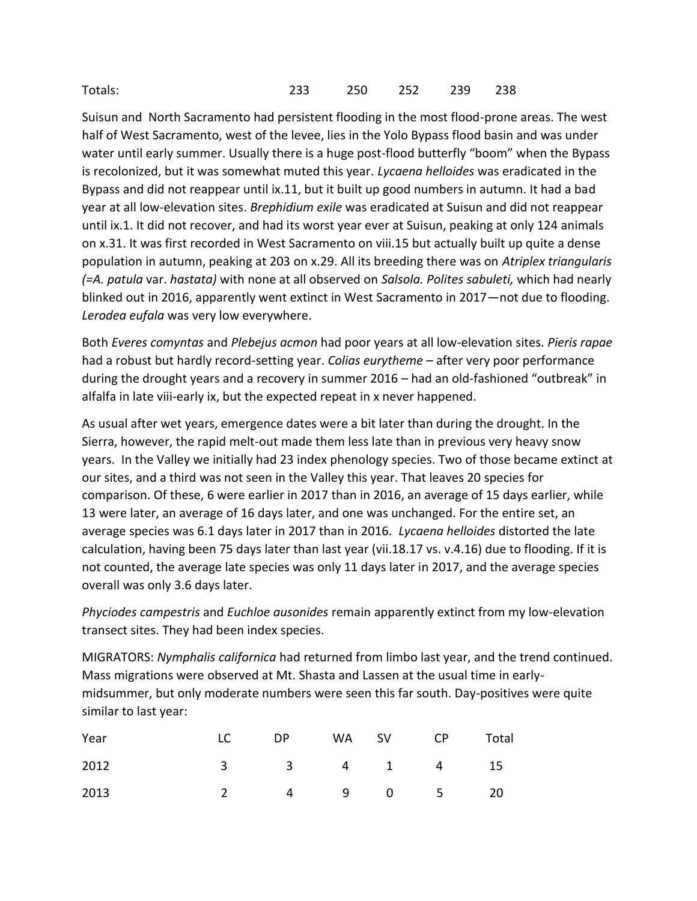| Totals: | 233 250 252 239 238 |  |  |
|---------|---------------------|--|--|
|         |                     |  |  |

Suisun and North Sacramento had persistent flooding in the most flood-prone areas. The west half of West Sacramento, west of the levee, lies in the Yolo Bypass flood basin and was under water until early summer. Usually there is a huge post-flood butterfly "boom" when the Bypass is recolonized, but it was somewhat muted this year. *Lycaena helloides* was eradicated in the Bypass and did not reappear until ix.11, but it built up good numbers in autumn. It had a bad year at all low-elevation sites. *Brephidium exile* was eradicated at Suisun and did not reappear until ix.1. It did not recover, and had its worst year ever at Suisun, peaking at only 124 animals on x.31. It was first recorded in West Sacramento on viii.15 but actually built up quite a dense population in autumn, peaking at 203 on x.29. All its breeding there was on *Atriplex triangularis (=A. patula* var. *hastata)* with none at all observed on *Salsola. Polites sabuleti,* which had nearly blinked out in 2016, apparently went extinct in West Sacramento in 2017—not due to flooding. *Lerodea eufala* was very low everywhere.

Both *Everes comyntas* and *Plebejus acmon* had poor years at all low-elevation sites. *Pieris rapae*  had a robust but hardly record-setting year. *Colias eurytheme* – after very poor performance during the drought years and a recovery in summer 2016 – had an old-fashioned "outbreak" in alfalfa in late viii-early ix, but the expected repeat in x never happened.

As usual after wet years, emergence dates were a bit later than during the drought. In the Sierra, however, the rapid melt-out made them less late than in previous very heavy snow years. In the Valley we initially had 23 index phenology species. Two of those became extinct at our sites, and a third was not seen in the Valley this year. That leaves 20 species for comparison. Of these, 6 were earlier in 2017 than in 2016, an average of 15 days earlier, while 13 were later, an average of 16 days later, and one was unchanged. For the entire set, an average species was 6.1 days later in 2017 than in 2016. *Lycaena helloides* distorted the late calculation, having been 75 days later than last year (vii.18.17 vs. v.4.16) due to flooding. If it is not counted, the average late species was only 11 days later in 2017, and the average species overall was only 3.6 days later.

*Phyciodes campestris* and *Euchloe ausonides* remain apparently extinct from my low-elevation transect sites. They had been index species.

MIGRATORS: *Nymphalis californica* had returned from limbo last year, and the trend continued. Mass migrations were observed at Mt. Shasta and Lassen at the usual time in earlymidsummer, but only moderate numbers were seen this far south. Day-positives were quite similar to last year:

| Year | LC DP WA SV CP Total |  |  |
|------|----------------------|--|--|
| 2012 | 3 3 4 1 4 15         |  |  |
| 2013 | 2 4 9 0 5 20         |  |  |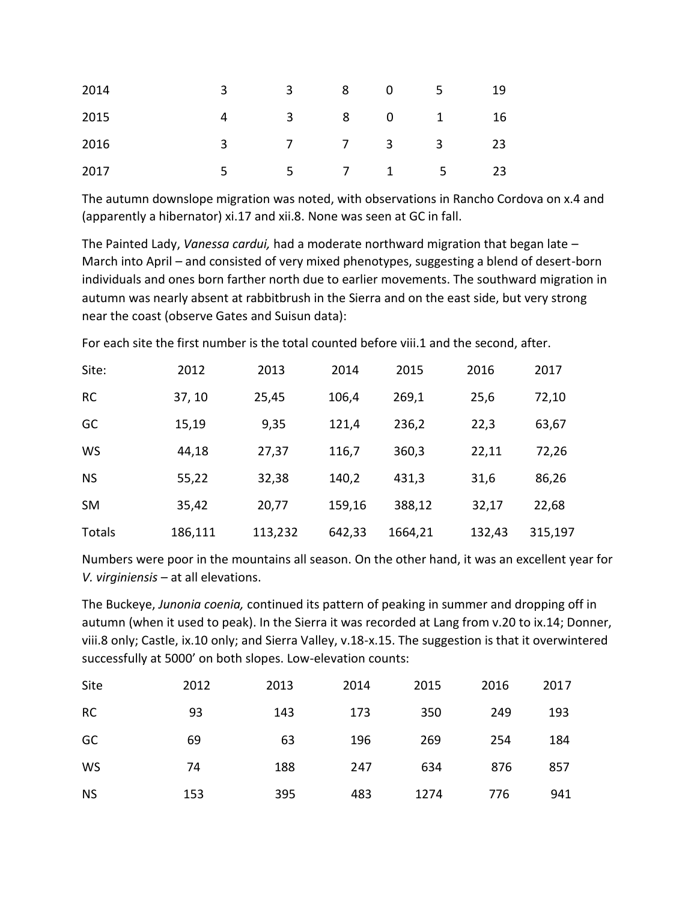| 2014 | 3 3 8 0 5 19                                                                              |  |  |
|------|-------------------------------------------------------------------------------------------|--|--|
| 2015 | 4 3 8 0 1 16                                                                              |  |  |
| 2016 | $3 \hspace{1.5cm} 7 \hspace{1.5cm} 7 \hspace{1.5cm} 3 \hspace{1.5cm} 3 \hspace{1.5cm} 23$ |  |  |
| 2017 | $5 \qquad 5 \qquad 7 \qquad 1 \qquad 5 \qquad 23$                                         |  |  |

The autumn downslope migration was noted, with observations in Rancho Cordova on x.4 and (apparently a hibernator) xi.17 and xii.8. None was seen at GC in fall.

The Painted Lady, *Vanessa cardui,* had a moderate northward migration that began late – March into April – and consisted of very mixed phenotypes, suggesting a blend of desert-born individuals and ones born farther north due to earlier movements. The southward migration in autumn was nearly absent at rabbitbrush in the Sierra and on the east side, but very strong near the coast (observe Gates and Suisun data):

For each site the first number is the total counted before viii.1 and the second, after.

| Site:     | 2012    | 2013    | 2014   | 2015    | 2016   | 2017    |
|-----------|---------|---------|--------|---------|--------|---------|
| <b>RC</b> | 37, 10  | 25,45   | 106,4  | 269,1   | 25,6   | 72,10   |
| GC        | 15,19   | 9,35    | 121,4  | 236,2   | 22,3   | 63,67   |
| <b>WS</b> | 44,18   | 27,37   | 116,7  | 360,3   | 22,11  | 72,26   |
| <b>NS</b> | 55,22   | 32,38   | 140,2  | 431,3   | 31,6   | 86,26   |
| <b>SM</b> | 35,42   | 20,77   | 159,16 | 388,12  | 32,17  | 22,68   |
| Totals    | 186,111 | 113,232 | 642,33 | 1664,21 | 132,43 | 315,197 |

Numbers were poor in the mountains all season. On the other hand, it was an excellent year for *V. virginiensis* – at all elevations.

The Buckeye, *Junonia coenia,* continued its pattern of peaking in summer and dropping off in autumn (when it used to peak). In the Sierra it was recorded at Lang from v.20 to ix.14; Donner, viii.8 only; Castle, ix.10 only; and Sierra Valley, v.18-x.15. The suggestion is that it overwintered successfully at 5000' on both slopes. Low-elevation counts:

| Site      | 2012 | 2013 | 2014 | 2015 | 2016 | 2017 |
|-----------|------|------|------|------|------|------|
| <b>RC</b> | 93   | 143  | 173  | 350  | 249  | 193  |
| GC        | 69   | 63   | 196  | 269  | 254  | 184  |
| WS        | 74   | 188  | 247  | 634  | 876  | 857  |
| <b>NS</b> | 153  | 395  | 483  | 1274 | 776  | 941  |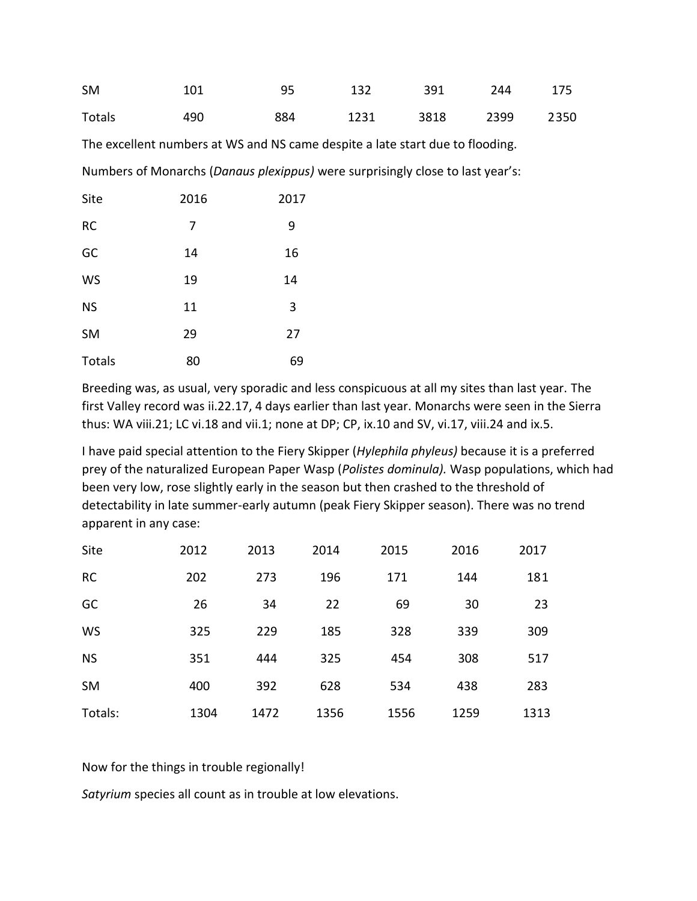| <b>SM</b> | 101 | 95    | 132 391 244 175     |  |  |
|-----------|-----|-------|---------------------|--|--|
| Totals    | 490 | 884 — | 1231 3818 2399 2350 |  |  |

The excellent numbers at WS and NS came despite a late start due to flooding. Numbers of Monarchs (*Danaus plexippus)* were surprisingly close to last year's:

| Site      | 2016 | 2017 |
|-----------|------|------|
| <b>RC</b> | 7    | 9    |
| GC        | 14   | 16   |
| <b>WS</b> | 19   | 14   |
| <b>NS</b> | 11   | 3    |
| <b>SM</b> | 29   | 27   |
| Totals    | 80   | 69   |

Breeding was, as usual, very sporadic and less conspicuous at all my sites than last year. The first Valley record was ii.22.17, 4 days earlier than last year. Monarchs were seen in the Sierra thus: WA viii.21; LC vi.18 and vii.1; none at DP; CP, ix.10 and SV, vi.17, viii.24 and ix.5.

I have paid special attention to the Fiery Skipper (*Hylephila phyleus)* because it is a preferred prey of the naturalized European Paper Wasp (*Polistes dominula).* Wasp populations, which had been very low, rose slightly early in the season but then crashed to the threshold of detectability in late summer-early autumn (peak Fiery Skipper season). There was no trend apparent in any case:

| Site      | 2012 | 2013 | 2014 | 2015 | 2016 | 2017 |
|-----------|------|------|------|------|------|------|
| <b>RC</b> | 202  | 273  | 196  | 171  | 144  | 181  |
| GC        | 26   | 34   | 22   | 69   | 30   | 23   |
| WS        | 325  | 229  | 185  | 328  | 339  | 309  |
| <b>NS</b> | 351  | 444  | 325  | 454  | 308  | 517  |
| <b>SM</b> | 400  | 392  | 628  | 534  | 438  | 283  |
| Totals:   | 1304 | 1472 | 1356 | 1556 | 1259 | 1313 |

Now for the things in trouble regionally!

*Satyrium* species all count as in trouble at low elevations.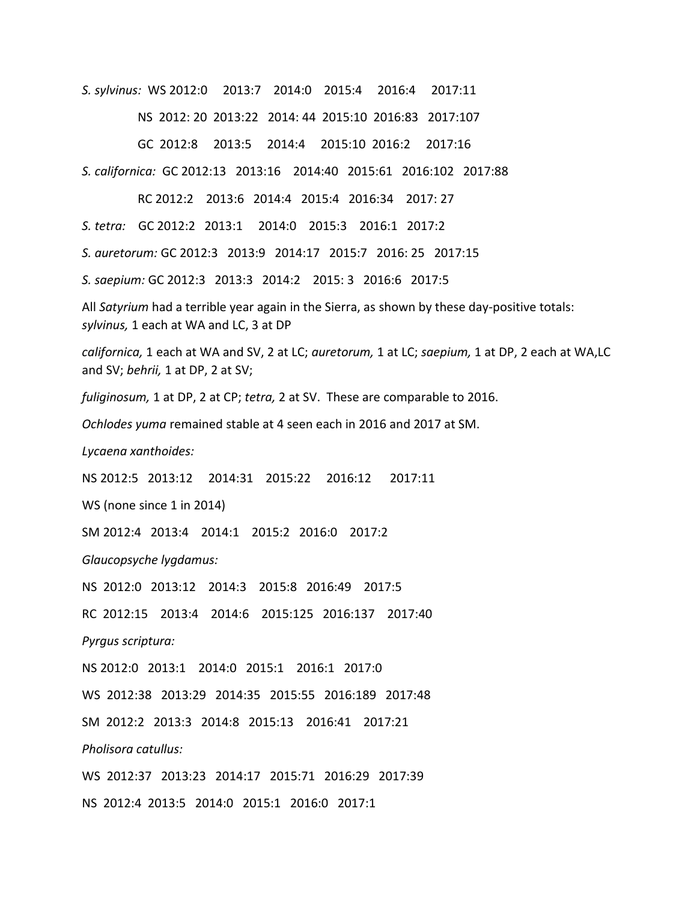*S. sylvinus:* WS 2012:0 2013:7 2014:0 2015:4 2016:4 2017:11

NS 2012: 20 2013:22 2014: 44 2015:10 2016:83 2017:107

GC 2012:8 2013:5 2014:4 2015:10 2016:2 2017:16

*S. californica:* GC 2012:13 2013:16 2014:40 2015:61 2016:102 2017:88

RC 2012:2 2013:6 2014:4 2015:4 2016:34 2017: 27

*S. tetra:* GC 2012:2 2013:1 2014:0 2015:3 2016:1 2017:2

*S. auretorum:* GC 2012:3 2013:9 2014:17 2015:7 2016: 25 2017:15

*S. saepium:* GC 2012:3 2013:3 2014:2 2015: 3 2016:6 2017:5

All *Satyrium* had a terrible year again in the Sierra, as shown by these day-positive totals: *sylvinus,* 1 each at WA and LC, 3 at DP

*californica,* 1 each at WA and SV, 2 at LC; *auretorum,* 1 at LC; *saepium,* 1 at DP, 2 each at WA,LC and SV; *behrii,* 1 at DP, 2 at SV;

*fuliginosum,* 1 at DP, 2 at CP; *tetra,* 2 at SV. These are comparable to 2016.

*Ochlodes yuma* remained stable at 4 seen each in 2016 and 2017 at SM.

*Lycaena xanthoides:*

NS 2012:5 2013:12 2014:31 2015:22 2016:12 2017:11

WS (none since 1 in 2014)

SM 2012:4 2013:4 2014:1 2015:2 2016:0 2017:2

*Glaucopsyche lygdamus:*

NS 2012:0 2013:12 2014:3 2015:8 2016:49 2017:5

RC 2012:15 2013:4 2014:6 2015:125 2016:137 2017:40

*Pyrgus scriptura:* 

NS 2012:0 2013:1 2014:0 2015:1 2016:1 2017:0

WS 2012:38 2013:29 2014:35 2015:55 2016:189 2017:48

SM 2012:2 2013:3 2014:8 2015:13 2016:41 2017:21

*Pholisora catullus:*

WS 2012:37 2013:23 2014:17 2015:71 2016:29 2017:39 NS 2012:4 2013:5 2014:0 2015:1 2016:0 2017:1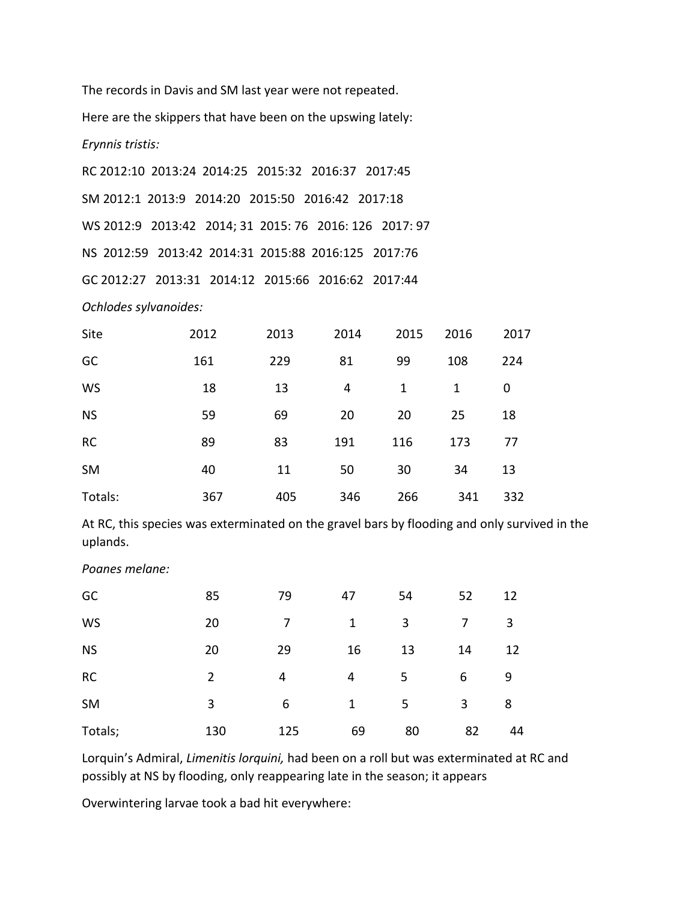The records in Davis and SM last year were not repeated. Here are the skippers that have been on the upswing lately: *Erynnis tristis:*

RC 2012:10 2013:24 2014:25 2015:32 2016:37 2017:45 SM 2012:1 2013:9 2014:20 2015:50 2016:42 2017:18 WS 2012:9 2013:42 2014; 31 2015: 76 2016: 126 2017: 97 NS 2012:59 2013:42 2014:31 2015:88 2016:125 2017:76 GC 2012:27 2013:31 2014:12 2015:66 2016:62 2017:44

*Ochlodes sylvanoides:*

| Site      | 2012 | 2013 | 2014 | 2015 | 2016 | 2017 |
|-----------|------|------|------|------|------|------|
| GC        | 161  | 229  | 81   | 99   | 108  | 224  |
| <b>WS</b> | 18   | 13   | 4    | 1    | 1    | 0    |
| <b>NS</b> | 59   | 69   | 20   | 20   | 25   | 18   |
| <b>RC</b> | 89   | 83   | 191  | 116  | 173  | 77   |
| <b>SM</b> | 40   | 11   | 50   | 30   | 34   | 13   |
| Totals:   | 367  | 405  | 346  | 266  | 341  | 332  |

At RC, this species was exterminated on the gravel bars by flooding and only survived in the uplands.

| GC        | 85             | 79  | 47 | 54 | 52 | 12 |
|-----------|----------------|-----|----|----|----|----|
| WS        | 20             | 7   | 1  | 3  | 7  | 3  |
| <b>NS</b> | 20             | 29  | 16 | 13 | 14 | 12 |
| <b>RC</b> | $\overline{2}$ | 4   | 4  | 5  | 6  | 9  |
| <b>SM</b> | 3              | 6   | 1  | 5  | 3  | 8  |
| Totals;   | 130            | 125 | 69 | 80 | 82 | 44 |

*Poanes melane:* 

Lorquin's Admiral, *Limenitis lorquini,* had been on a roll but was exterminated at RC and possibly at NS by flooding, only reappearing late in the season; it appears

Overwintering larvae took a bad hit everywhere: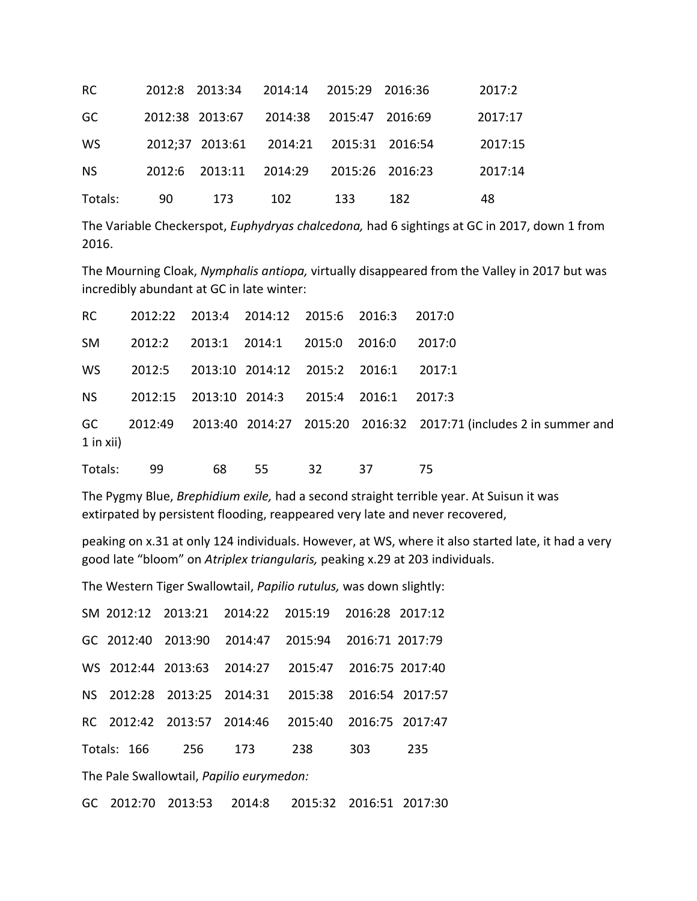| <b>RC</b> |    |                 | 2012:8 2013:34 2014:14 2015:29 2016:36  |     |     | 2017:2  |
|-----------|----|-----------------|-----------------------------------------|-----|-----|---------|
| GC        |    | 2012:38 2013:67 | 2014:38 2015:47 2016:69                 |     |     | 2017:17 |
| <b>WS</b> |    |                 | 2012;37 2013:61 2014:21 2015:31 2016:54 |     |     | 2017:15 |
| <b>NS</b> |    |                 | 2012:6 2013:11 2014:29 2015:26 2016:23  |     |     | 2017:14 |
| Totals:   | 90 | 173             | 102                                     | 133 | 182 | 48      |

The Variable Checkerspot, *Euphydryas chalcedona,* had 6 sightings at GC in 2017, down 1 from 2016.

The Mourning Cloak, *Nymphalis antiopa,* virtually disappeared from the Valley in 2017 but was incredibly abundant at GC in late winter:

| RC          | 2012:22 2013:4 2014:12 2015:6 2016:3 2017:0    |    |    |    |                                    |                                                                              |
|-------------|------------------------------------------------|----|----|----|------------------------------------|------------------------------------------------------------------------------|
| SM          |                                                |    |    |    | 2012:2 2013:1 2014:1 2015:0 2016:0 | 2017:0                                                                       |
| WS.         | 2012:5 2013:10 2014:12 2015:2 2016:1 2017:1    |    |    |    |                                    |                                                                              |
|             | NS 2012:15 2013:10 2014:3 2015:4 2016:1 2017:3 |    |    |    |                                    |                                                                              |
| $1$ in xii) |                                                |    |    |    |                                    | GC 2012:49 2013:40 2014:27 2015:20 2016:32 2017:71 (includes 2 in summer and |
| Totals:     | 99                                             | 68 | 55 | 32 | -37                                | -75                                                                          |

The Pygmy Blue, *Brephidium exile,* had a second straight terrible year. At Suisun it was extirpated by persistent flooding, reappeared very late and never recovered,

peaking on x.31 at only 124 individuals. However, at WS, where it also started late, it had a very good late "bloom" on *Atriplex triangularis,* peaking x.29 at 203 individuals.

The Western Tiger Swallowtail, *Papilio rutulus,* was down slightly:

|                                         |  |  |                         | SM 2012:12 2013:21 2014:22 2015:19 2016:28 2017:12 |         |  |
|-----------------------------------------|--|--|-------------------------|----------------------------------------------------|---------|--|
|                                         |  |  |                         | GC 2012:40 2013:90 2014:47 2015:94 2016:71 2017:79 |         |  |
|                                         |  |  |                         | WS 2012:44 2013:63 2014:27 2015:47 2016:75 2017:40 |         |  |
|                                         |  |  |                         | NS 2012:28 2013:25 2014:31 2015:38 2016:54 2017:57 |         |  |
|                                         |  |  |                         | RC 2012:42 2013:57 2014:46 2015:40 2016:75 2017:47 |         |  |
|                                         |  |  | Totals: 166 256 173 238 |                                                    | 303 235 |  |
| The Dale Curalloutail Depilio curimoder |  |  |                         |                                                    |         |  |

The Pale Swallowtail, *Papilio eurymedon:*

GC 2012:70 2013:53 2014:8 2015:32 2016:51 2017:30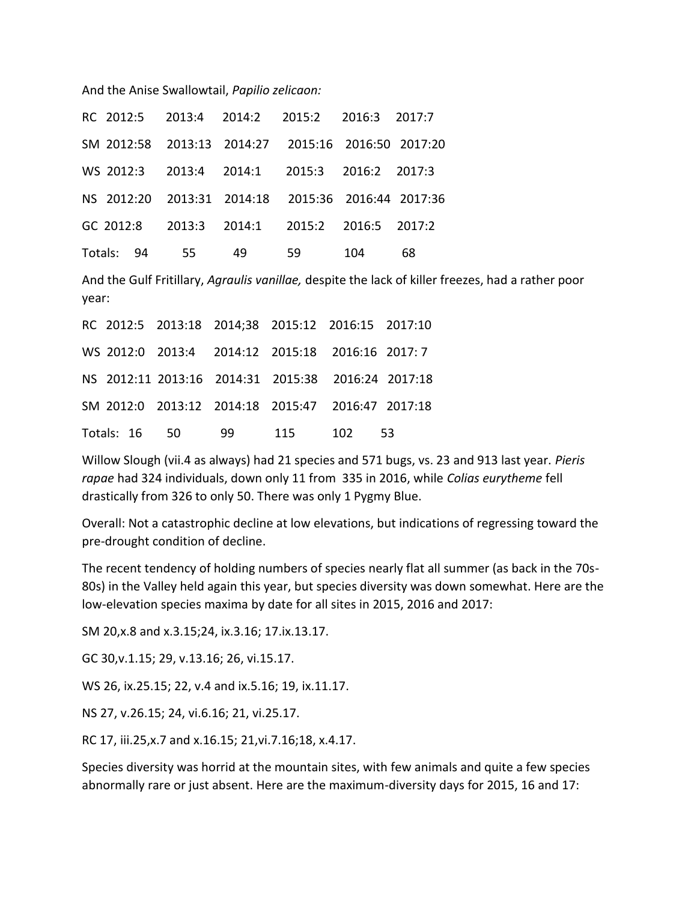And the Anise Swallowtail, *Papilio zelicaon:*

|               |    | RC 2012:5 2013:4 2014:2 2015:2 2016:3 2017:7       |     |    |
|---------------|----|----------------------------------------------------|-----|----|
|               |    | SM 2012:58 2013:13 2014:27 2015:16 2016:50 2017:20 |     |    |
|               |    | WS 2012:3 2013:4 2014:1 2015:3 2016:2 2017:3       |     |    |
|               |    | NS 2012:20 2013:31 2014:18 2015:36 2016:44 2017:36 |     |    |
|               |    | GC 2012:8 2013:3 2014:1 2015:2 2016:5 2017:2       |     |    |
| Totals: 94 55 | 49 |                                                    | 104 | 68 |

And the Gulf Fritillary, *Agraulis vanillae,* despite the lack of killer freezes, had a rather poor year:

|  | RC 2012:5 2013:18 2014;38 2015:12 2016:15 2017:10  |  |            |  |
|--|----------------------------------------------------|--|------------|--|
|  | WS 2012:0 2013:4 2014:12 2015:18 2016:16 2017:7    |  |            |  |
|  | NS 2012:11 2013:16 2014:31 2015:38 2016:24 2017:18 |  |            |  |
|  | SM 2012:0 2013:12 2014:18 2015:47 2016:47 2017:18  |  |            |  |
|  | Totals: 16 50 99                                   |  | 115 102 53 |  |

Willow Slough (vii.4 as always) had 21 species and 571 bugs, vs. 23 and 913 last year. *Pieris rapae* had 324 individuals, down only 11 from 335 in 2016, while *Colias eurytheme* fell drastically from 326 to only 50. There was only 1 Pygmy Blue.

Overall: Not a catastrophic decline at low elevations, but indications of regressing toward the pre-drought condition of decline.

The recent tendency of holding numbers of species nearly flat all summer (as back in the 70s-80s) in the Valley held again this year, but species diversity was down somewhat. Here are the low-elevation species maxima by date for all sites in 2015, 2016 and 2017:

SM 20,x.8 and x.3.15;24, ix.3.16; 17.ix.13.17.

GC 30,v.1.15; 29, v.13.16; 26, vi.15.17.

WS 26, ix.25.15; 22, v.4 and ix.5.16; 19, ix.11.17.

NS 27, v.26.15; 24, vi.6.16; 21, vi.25.17.

RC 17, iii.25,x.7 and x.16.15; 21,vi.7.16;18, x.4.17.

Species diversity was horrid at the mountain sites, with few animals and quite a few species abnormally rare or just absent. Here are the maximum-diversity days for 2015, 16 and 17: